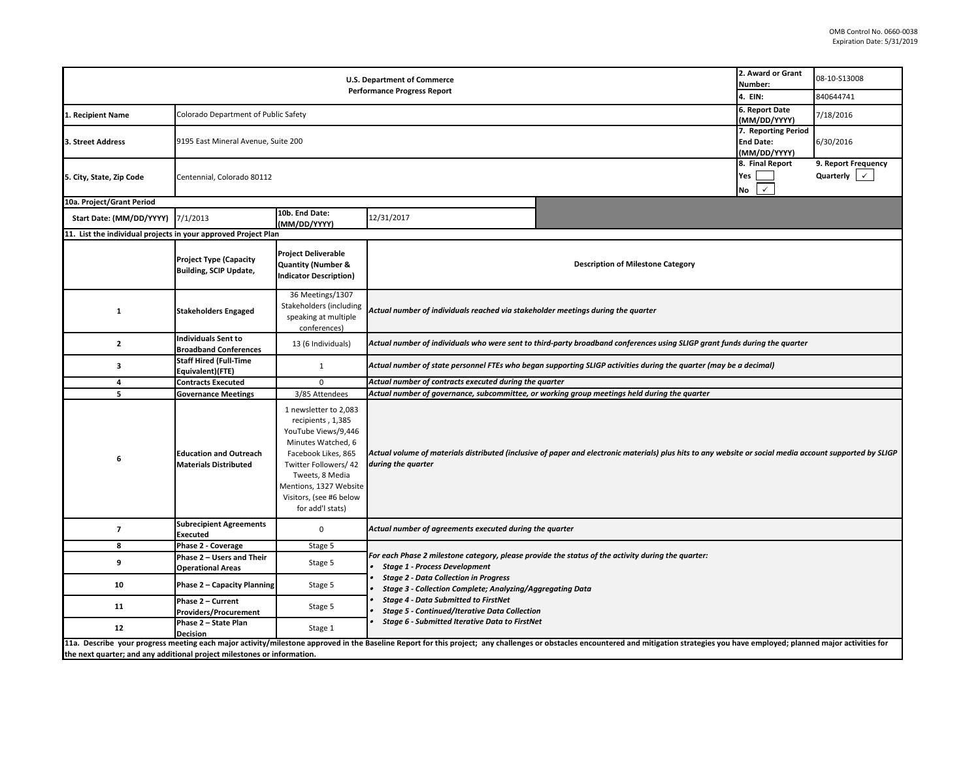| <b>U.S. Department of Commerce</b><br><b>Performance Progress Report</b>                                                                                                                                                                                                                                  |                                                                |                                                                                                                                                                                                                                     |                                                                                                                                                                                                                  |                                                                                                                                                          |                                                     | 08-10-S13008<br>840644741                           |  |  |  |
|-----------------------------------------------------------------------------------------------------------------------------------------------------------------------------------------------------------------------------------------------------------------------------------------------------------|----------------------------------------------------------------|-------------------------------------------------------------------------------------------------------------------------------------------------------------------------------------------------------------------------------------|------------------------------------------------------------------------------------------------------------------------------------------------------------------------------------------------------------------|----------------------------------------------------------------------------------------------------------------------------------------------------------|-----------------------------------------------------|-----------------------------------------------------|--|--|--|
| 1. Recipient Name                                                                                                                                                                                                                                                                                         | Colorado Department of Public Safety                           | 6. Report Date<br>(MM/DD/YYYY)                                                                                                                                                                                                      | 7/18/2016                                                                                                                                                                                                        |                                                                                                                                                          |                                                     |                                                     |  |  |  |
| 3. Street Address                                                                                                                                                                                                                                                                                         |                                                                | 9195 East Mineral Avenue, Suite 200                                                                                                                                                                                                 |                                                                                                                                                                                                                  |                                                                                                                                                          |                                                     |                                                     |  |  |  |
| 5. City, State, Zip Code                                                                                                                                                                                                                                                                                  | Centennial, Colorado 80112                                     |                                                                                                                                                                                                                                     |                                                                                                                                                                                                                  |                                                                                                                                                          | 8. Final Report<br>Yes<br>$\checkmark$<br><b>No</b> | 9. Report Frequency<br>Quarterly $\vert \checkmark$ |  |  |  |
| 10a. Project/Grant Period                                                                                                                                                                                                                                                                                 |                                                                |                                                                                                                                                                                                                                     |                                                                                                                                                                                                                  |                                                                                                                                                          |                                                     |                                                     |  |  |  |
| Start Date: (MM/DD/YYYY)                                                                                                                                                                                                                                                                                  | 7/1/2013                                                       | 10b. End Date:<br>(MM/DD/YYYY)                                                                                                                                                                                                      | 12/31/2017                                                                                                                                                                                                       |                                                                                                                                                          |                                                     |                                                     |  |  |  |
| 11. List the individual projects in your approved Project Plan                                                                                                                                                                                                                                            |                                                                |                                                                                                                                                                                                                                     |                                                                                                                                                                                                                  |                                                                                                                                                          |                                                     |                                                     |  |  |  |
|                                                                                                                                                                                                                                                                                                           | <b>Project Type (Capacity</b><br><b>Building, SCIP Update,</b> | <b>Project Deliverable</b><br><b>Quantity (Number &amp;</b><br><b>Indicator Description)</b>                                                                                                                                        |                                                                                                                                                                                                                  | <b>Description of Milestone Category</b>                                                                                                                 |                                                     |                                                     |  |  |  |
| 1                                                                                                                                                                                                                                                                                                         | <b>Stakeholders Engaged</b>                                    | 36 Meetings/1307<br>Stakeholders (including<br>speaking at multiple<br>conferences)                                                                                                                                                 | Actual number of individuals reached via stakeholder meetings during the quarter                                                                                                                                 |                                                                                                                                                          |                                                     |                                                     |  |  |  |
| $\mathbf{z}$                                                                                                                                                                                                                                                                                              | <b>Individuals Sent to</b><br><b>Broadband Conferences</b>     | 13 (6 Individuals)                                                                                                                                                                                                                  | Actual number of individuals who were sent to third-party broadband conferences using SLIGP grant funds during the quarter                                                                                       |                                                                                                                                                          |                                                     |                                                     |  |  |  |
| 3                                                                                                                                                                                                                                                                                                         | <b>Staff Hired (Full-Time</b><br>Equivalent)(FTE)              | $\mathbf{1}$                                                                                                                                                                                                                        | Actual number of state personnel FTEs who began supporting SLIGP activities during the quarter (may be a decimal)                                                                                                |                                                                                                                                                          |                                                     |                                                     |  |  |  |
| 4                                                                                                                                                                                                                                                                                                         | <b>Contracts Executed</b>                                      | $\mathbf 0$                                                                                                                                                                                                                         | Actual number of contracts executed during the quarter                                                                                                                                                           |                                                                                                                                                          |                                                     |                                                     |  |  |  |
| 5                                                                                                                                                                                                                                                                                                         | <b>Governance Meetings</b>                                     | 3/85 Attendees                                                                                                                                                                                                                      | Actual number of governance, subcommittee, or working group meetings held during the quarter                                                                                                                     |                                                                                                                                                          |                                                     |                                                     |  |  |  |
| 6                                                                                                                                                                                                                                                                                                         | <b>Education and Outreach</b><br><b>Materials Distributed</b>  | 1 newsletter to 2,083<br>recipients, 1,385<br>YouTube Views/9,446<br>Minutes Watched, 6<br>Facebook Likes, 865<br>Twitter Followers/ 42<br>Tweets, 8 Media<br>Mentions, 1327 Website<br>Visitors, (see #6 below<br>for add'l stats) | during the quarter                                                                                                                                                                                               | Actual volume of materials distributed (inclusive of paper and electronic materials) plus hits to any website or social media account supported by SLIGP |                                                     |                                                     |  |  |  |
| $\overline{\phantom{a}}$                                                                                                                                                                                                                                                                                  | <b>Subrecipient Agreements</b><br>Executed                     | $\pmb{0}$                                                                                                                                                                                                                           | Actual number of agreements executed during the quarter                                                                                                                                                          |                                                                                                                                                          |                                                     |                                                     |  |  |  |
| 8                                                                                                                                                                                                                                                                                                         | Phase 2 - Coverage                                             | Stage 5                                                                                                                                                                                                                             |                                                                                                                                                                                                                  |                                                                                                                                                          |                                                     |                                                     |  |  |  |
| 9                                                                                                                                                                                                                                                                                                         | Phase 2 - Users and Their<br><b>Operational Areas</b>          | Stage 5                                                                                                                                                                                                                             | <b>Stage 1 - Process Development</b>                                                                                                                                                                             | For each Phase 2 milestone category, please provide the status of the activity during the quarter:                                                       |                                                     |                                                     |  |  |  |
| 10                                                                                                                                                                                                                                                                                                        | Phase 2 - Capacity Planning                                    | Stage 5                                                                                                                                                                                                                             | <b>Stage 2 - Data Collection in Progress</b><br>Stage 3 - Collection Complete; Analyzing/Aggregating Data<br><b>Stage 4 - Data Submitted to FirstNet</b><br><b>Stage 5 - Continued/Iterative Data Collection</b> |                                                                                                                                                          |                                                     |                                                     |  |  |  |
| 11                                                                                                                                                                                                                                                                                                        | Phase 2 - Current<br>Providers/Procurement                     | Stage 5                                                                                                                                                                                                                             |                                                                                                                                                                                                                  |                                                                                                                                                          |                                                     |                                                     |  |  |  |
| 12                                                                                                                                                                                                                                                                                                        | Phase 2 - State Plan<br><b>Decision</b>                        | Stage 1                                                                                                                                                                                                                             | Stage 6 - Submitted Iterative Data to FirstNet                                                                                                                                                                   |                                                                                                                                                          |                                                     |                                                     |  |  |  |
| 11a. Describe your progress meeting each major activity/milestone approved in the Baseline Report for this project; any challenges or obstacles encountered and mitigation strategies you have employed; planned major activit<br>the next quarter; and any additional project milestones or information. |                                                                |                                                                                                                                                                                                                                     |                                                                                                                                                                                                                  |                                                                                                                                                          |                                                     |                                                     |  |  |  |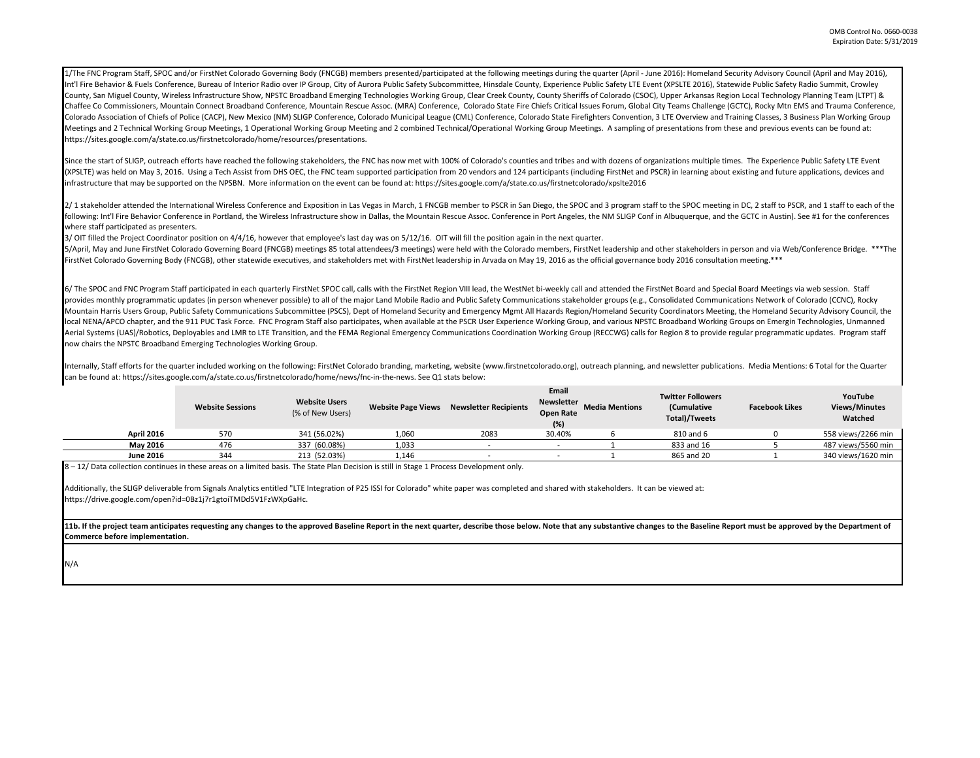1/The FNC Program Staff. SPOC and/or FirstNet Colorado Governing Body (FNCGB) members presented/participated at the following meetings during the quarter (April - June 2016): Homeland Security Advisory Council (April and M Int'l Fire Behavior & Fuels Conference, Bureau of Interior Radio over IP Group, City of Aurora Public Safety Subcommittee, Hinsdale County, Experience Public Safety LTE Event (XPSLTE 2016), Statewide Public Safety Radio Su County, San Miguel County, Wireless Infrastructure Show, NPSTC Broadband Emerging Technologies Working Group, Clear Creek County, County Sheriffs of Colorado (CSOC), Upper Arkansas Region Local Technology Planning Team (LT Chaffee Co Commissioners, Mountain Connect Broadband Conference, Mountain Rescue Assoc. (MRA) Conference, Colorado State Fire Chiefs Critical Issues Forum, Global City Teams Challenge (GCTC), Rocky Mtn EMS and Trauma Confe Colorado Association of Chiefs of Police (CACP), New Mexico (NM) SLIGP Conference, Colorado Municipal League (CML) Conference, Colorado State Firefighters Convention, 3 LTE Overview and Training Classes, 3 Business Plan Wo Meetings and 2 Technical Working Group Meetings, 1 Operational Working Group Meeting and 2 combined Technical/Operational Working Group Meetings. A sampling of presentations from these and previous events can be found at: https://sites.google.com/a/state.co.us/firstnetcolorado/home/resources/presentations.

Since the start of SLIGP, outreach efforts have reached the following stakeholders, the FNC has now met with 100% of Colorado's counties and tribes and with dozens of organizations multiple times. The Experience Public Saf (XPSLTE) was held on May 3, 2016. Using a Tech Assist from DHS OEC, the FNC team supported participation from 20 vendors and 124 participants (including FirstNet and PSCR) in learning about existing and future applications infrastructure that may be supported on the NPSBN. More information on the event can be found at: https://sites.google.com/a/state.co.us/firstnetcolorado/xpslte2016

2/1 stakeholder attended the International Wireless Conference and Exposition in Las Vegas in March, 1 FNCGB member to PSCR in San Diego, the SPOC and 3 program staff to the SPOC meeting in DC, 2 staff to PSCR, and 1 staff following: Int'l Fire Behavior Conference in Portland, the Wireless Infrastructure show in Dallas, the Mountain Rescue Assoc. Conference in Port Angeles, the MM SLIGP Conf in Albuquerque, and the GCTC in Austin). See #1 fo where staff participated as presenters.

3/ OIT filled the Project Coordinator position on 4/4/16, however that employee's last day was on 5/12/16. OIT will fill the position again in the next quarter.

5/April, May and June FirstNet Colorado Governing Board (FNCGB) meetings 85 total attendees/3 meetings) were held with the Colorado members, FirstNet leadership and other stakeholders in person and via Web/Conference Bridg FirstNet Colorado Governing Body (FNCGB), other statewide executives, and stakeholders met with FirstNet leadership in Arvada on May 19, 2016 as the official governance body 2016 consultation meeting.\*\*\*

6/ The SPOC and FNC Program Staff participated in each quarterly FirstNet SPOC call, calls with the FirstNet Region VIII lead, the WestNet bi-weekly call and attended the FirstNet Board and Special Board Meetings via web s provides monthly programmatic updates (in person whenever possible) to all of the major Land Mobile Radio and Public Safety Communications stakeholder groups (e.g., Consolidated Communications Network of Colorado (CCNC), R Mountain Harris Users Group, Public Safety Communications Subcommittee (PSCS), Dept of Homeland Security and Emergency Mgmt All Hazards Region/Homeland Security Coordinators Meeting, the Homeland Security Advisory Council, local NENA/APCO chapter, and the 911 PUC Task Force. FNC Program Staff also participates, when available at the PSCR User Experience Working Group, and various NPSTC Broadband Working Groups on Emergin Technologies, Unmann Aerial Systems (UAS)/Robotics, Deployables and LMR to LTE Transition, and the FEMA Regional Emergency Communications Coordination Working Group (RECCWG) calls for Region 8 to provide regular programmatic updates. Program s now chairs the NPSTC Broadband Emerging Technologies Working Group.

Internally, Staff efforts for the quarter included working on the following: FirstNet Colorado branding, marketing, website (www.firstnetcolorado.org), outreach planning, and newsletter publications. Media Mentions: 6 Tota can be found at: https://sites.google.com/a/state.co.us/firstnetcolorado/home/news/fnc-in-the-news. See Q1 stats below:

|                   | <b>Website Sessions</b> | <b>Website Users</b><br>(% of New Users) | <b>Website Page Views</b> | <b>Newsletter Recipients</b> | Email<br><b>Newsletter</b><br><b>Open Rate</b><br>(%) | <b>Media Mentions</b> | <b>Twitter Followers</b><br><b>Cumulative</b><br><b>Total)/Tweets</b> | <b>Facebook Likes</b> | YouTube<br>Views/Minutes<br>Watched |
|-------------------|-------------------------|------------------------------------------|---------------------------|------------------------------|-------------------------------------------------------|-----------------------|-----------------------------------------------------------------------|-----------------------|-------------------------------------|
| <b>April 2016</b> | 570                     | 341 (56.02%)                             | 1,060                     | 2083                         | 30.40%                                                |                       | 810 and 6                                                             |                       | 558 views/2266 min                  |
| May 2016          | 476                     | 337 (60.08%)                             | 1,033                     |                              |                                                       |                       | 833 and 16                                                            |                       | 487 views/5560 min                  |
| <b>June 2016</b>  | 344                     | 213 (52.03%)                             | 1.146                     |                              |                                                       |                       | 865 and 20                                                            |                       | 340 views/1620 min                  |

8 – 12/ Data collection continues in these areas on a limited basis. The State Plan Decision is still in Stage 1 Process Development only.

Additionally, the SLIGP deliverable from Signals Analytics entitled "LTE Integration of P25 ISSI for Colorado" white paper was completed and shared with stakeholders. It can be viewed at: https://drive.google.com/open?id=0Bz1j7r1gtoiTMDd5V1FzWXpGaHc.

11b. If the project team anticipates requesting any changes to the approved Baseline Report in the next quarter, describe those below. Note that any substantive changes to the Baseline Report must be approved by the Depart **Commerce before implementation.** 

N/A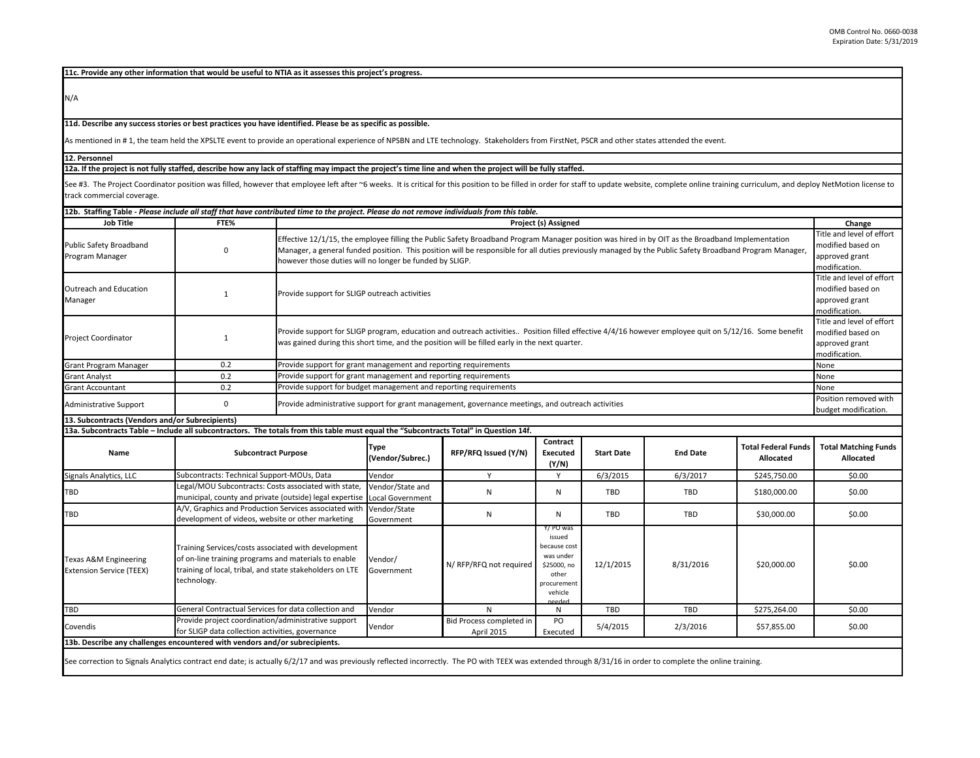**11c. Provide any other information that would be useful to NTIA as it assesses this project's progress.** 

N/A

**11d. Describe any success stories or best practices you have identified. Please be as specific as possible.**

As mentioned in # 1, the team held the XPSLTE event to provide an operational experience of NPSBN and LTE technology. Stakeholders from FirstNet, PSCR and other states attended the event.

**12. Personnel** 

**12a. If the project is not fully staffed, describe how any lack of staffing may impact the project's time line and when the project will be fully staffed.**

See #3. The Project Coordinator position was filled, however that employee left after ~6 weeks. It is critical for this position to be filled in order for staff to update website, complete online training curriculum, and d track commercial coverage.

| <b>Job Title</b>                                                                                                                                                                                            | FTE%                                                                                                                                                                                   |                                                                                                                                                         | Project (s) Assigned                                                                                                                                                                                                                                                                                                                                                                                                                                        |                                        |                                                                                                             |                   |                 |                                         |                                          |  |
|-------------------------------------------------------------------------------------------------------------------------------------------------------------------------------------------------------------|----------------------------------------------------------------------------------------------------------------------------------------------------------------------------------------|---------------------------------------------------------------------------------------------------------------------------------------------------------|-------------------------------------------------------------------------------------------------------------------------------------------------------------------------------------------------------------------------------------------------------------------------------------------------------------------------------------------------------------------------------------------------------------------------------------------------------------|----------------------------------------|-------------------------------------------------------------------------------------------------------------|-------------------|-----------------|-----------------------------------------|------------------------------------------|--|
| Public Safety Broadband<br>Program Manager                                                                                                                                                                  | 0                                                                                                                                                                                      |                                                                                                                                                         | Title and level of effort<br>Effective 12/1/15, the employee filling the Public Safety Broadband Program Manager position was hired in by OIT as the Broadband Implementation<br>modified based on<br>Manager, a general funded position. This position will be responsible for all duties previously managed by the Public Safety Broadband Program Manager,<br>approved grant<br>however those duties will no longer be funded by SLIGP.<br>modification. |                                        |                                                                                                             |                   |                 |                                         |                                          |  |
| Outreach and Education<br>Manager                                                                                                                                                                           | $\mathbf{1}$                                                                                                                                                                           |                                                                                                                                                         | Title and level of effort<br>modified based on<br>Provide support for SLIGP outreach activities<br>approved grant<br>modification.                                                                                                                                                                                                                                                                                                                          |                                        |                                                                                                             |                   |                 |                                         |                                          |  |
| <b>Project Coordinator</b>                                                                                                                                                                                  | 1                                                                                                                                                                                      |                                                                                                                                                         | Title and level of effort<br>Provide support for SLIGP program, education and outreach activities Position filled effective 4/4/16 however employee quit on 5/12/16. Some benefit<br>modified based on<br>was gained during this short time, and the position will be filled early in the next quarter.<br>approved grant<br>modification.                                                                                                                  |                                        |                                                                                                             |                   |                 |                                         |                                          |  |
| <b>Grant Program Manager</b>                                                                                                                                                                                | 0.2                                                                                                                                                                                    | Provide support for grant management and reporting requirements                                                                                         |                                                                                                                                                                                                                                                                                                                                                                                                                                                             |                                        |                                                                                                             |                   |                 |                                         | None                                     |  |
| <b>Grant Analyst</b>                                                                                                                                                                                        | 0.2                                                                                                                                                                                    | Provide support for grant management and reporting requirements                                                                                         |                                                                                                                                                                                                                                                                                                                                                                                                                                                             |                                        |                                                                                                             |                   |                 |                                         | None                                     |  |
| <b>Grant Accountant</b>                                                                                                                                                                                     | 0.2                                                                                                                                                                                    |                                                                                                                                                         | Provide support for budget management and reporting requirements<br>None                                                                                                                                                                                                                                                                                                                                                                                    |                                        |                                                                                                             |                   |                 |                                         |                                          |  |
| Administrative Support                                                                                                                                                                                      | $\mathbf 0$                                                                                                                                                                            |                                                                                                                                                         | Position removed with<br>Provide administrative support for grant management, governance meetings, and outreach activities<br>budget modification.                                                                                                                                                                                                                                                                                                          |                                        |                                                                                                             |                   |                 |                                         |                                          |  |
| 13. Subcontracts (Vendors and/or Subrecipients)                                                                                                                                                             |                                                                                                                                                                                        |                                                                                                                                                         |                                                                                                                                                                                                                                                                                                                                                                                                                                                             |                                        |                                                                                                             |                   |                 |                                         |                                          |  |
| 13a. Subcontracts Table - Include all subcontractors. The totals from this table must equal the "Subcontracts Total" in Question 14f.                                                                       |                                                                                                                                                                                        |                                                                                                                                                         |                                                                                                                                                                                                                                                                                                                                                                                                                                                             |                                        |                                                                                                             |                   |                 |                                         |                                          |  |
| Name                                                                                                                                                                                                        |                                                                                                                                                                                        | <b>Subcontract Purpose</b>                                                                                                                              |                                                                                                                                                                                                                                                                                                                                                                                                                                                             | RFP/RFQ Issued (Y/N)                   | Contract<br>Executed<br>(Y/N)                                                                               | <b>Start Date</b> | <b>End Date</b> | <b>Total Federal Funds</b><br>Allocated | <b>Total Matching Funds</b><br>Allocated |  |
| Signals Analytics, LLC                                                                                                                                                                                      | Subcontracts: Technical Support-MOUs, Data                                                                                                                                             |                                                                                                                                                         | Vendor                                                                                                                                                                                                                                                                                                                                                                                                                                                      | Y                                      | Y                                                                                                           | 6/3/2015          | 6/3/2017        | \$245,750.00                            | \$0.00                                   |  |
| <b>TBD</b>                                                                                                                                                                                                  |                                                                                                                                                                                        | Legal/MOU Subcontracts: Costs associated with state,<br>Vendor/State and<br>municipal, county and private (outside) legal expertise<br>Local Government |                                                                                                                                                                                                                                                                                                                                                                                                                                                             | N                                      | N                                                                                                           | TBD               | TBD             | \$180,000.00                            | \$0.00                                   |  |
| <b>TBD</b>                                                                                                                                                                                                  | A/V, Graphics and Production Services associated with<br>development of videos, website or other marketing                                                                             |                                                                                                                                                         | Vendor/State<br>Government                                                                                                                                                                                                                                                                                                                                                                                                                                  | N                                      | N                                                                                                           | TBD               | TBD             | \$30,000.00                             | \$0.00                                   |  |
| <b>Texas A&amp;M Engineering</b><br><b>Extension Service (TEEX)</b>                                                                                                                                         | Training Services/costs associated with development<br>of on-line training programs and materials to enable<br>training of local, tribal, and state stakeholders on LTE<br>technology. |                                                                                                                                                         | Vendor/<br>Government                                                                                                                                                                                                                                                                                                                                                                                                                                       | N/ RFP/RFQ not required                | Y/ PO was<br>issued<br>because cost<br>was under<br>\$25000, no<br>other<br>procurement<br>vehicle<br>eeded | 12/1/2015         | 8/31/2016       | \$20,000.00                             | \$0.00                                   |  |
| TBD                                                                                                                                                                                                         | General Contractual Services for data collection and                                                                                                                                   |                                                                                                                                                         | Vendor                                                                                                                                                                                                                                                                                                                                                                                                                                                      | N                                      | N                                                                                                           | TBD               | TBD             | \$275,264.00                            | \$0.00                                   |  |
| Covendis                                                                                                                                                                                                    | Provide project coordination/administrative support<br>for SLIGP data collection activities, governance                                                                                |                                                                                                                                                         | Vendor                                                                                                                                                                                                                                                                                                                                                                                                                                                      | Bid Process completed in<br>April 2015 | PO<br>Executed                                                                                              | 5/4/2015          | 2/3/2016        | \$57,855.00                             | \$0.00                                   |  |
| 13b. Describe any challenges encountered with vendors and/or subrecipients.                                                                                                                                 |                                                                                                                                                                                        |                                                                                                                                                         |                                                                                                                                                                                                                                                                                                                                                                                                                                                             |                                        |                                                                                                             |                   |                 |                                         |                                          |  |
| See correction to Signals Analytics contract end date; is actually 6/2/17 and was previously reflected incorrectly. The PO with TEEX was extended through 8/31/16 in order to complete the online training. |                                                                                                                                                                                        |                                                                                                                                                         |                                                                                                                                                                                                                                                                                                                                                                                                                                                             |                                        |                                                                                                             |                   |                 |                                         |                                          |  |